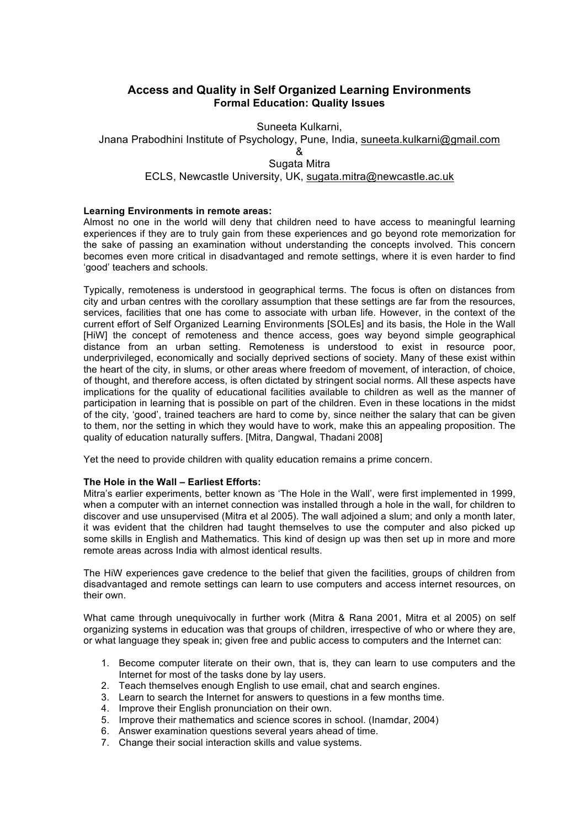# **Access and Quality in Self Organized Learning Environments Formal Education: Quality Issues**

Suneeta Kulkarni, Jnana Prabodhini Institute of Psychology, Pune, India, suneeta.kulkarni@gmail.com & Sugata Mitra ECLS, Newcastle University, UK, sugata.mitra@newcastle.ac.uk

#### **Learning Environments in remote areas:**

Almost no one in the world will deny that children need to have access to meaningful learning experiences if they are to truly gain from these experiences and go beyond rote memorization for the sake of passing an examination without understanding the concepts involved. This concern becomes even more critical in disadvantaged and remote settings, where it is even harder to find 'good' teachers and schools.

Typically, remoteness is understood in geographical terms. The focus is often on distances from city and urban centres with the corollary assumption that these settings are far from the resources, services, facilities that one has come to associate with urban life. However, in the context of the current effort of Self Organized Learning Environments [SOLEs] and its basis, the Hole in the Wall [HiW] the concept of remoteness and thence access, goes way beyond simple geographical distance from an urban setting. Remoteness is understood to exist in resource poor, underprivileged, economically and socially deprived sections of society. Many of these exist within the heart of the city, in slums, or other areas where freedom of movement, of interaction, of choice, of thought, and therefore access, is often dictated by stringent social norms. All these aspects have implications for the quality of educational facilities available to children as well as the manner of participation in learning that is possible on part of the children. Even in these locations in the midst of the city, 'good', trained teachers are hard to come by, since neither the salary that can be given to them, nor the setting in which they would have to work, make this an appealing proposition. The quality of education naturally suffers. [Mitra, Dangwal, Thadani 2008]

Yet the need to provide children with quality education remains a prime concern.

#### **The Hole in the Wall – Earliest Efforts:**

Mitra's earlier experiments, better known as 'The Hole in the Wall', were first implemented in 1999, when a computer with an internet connection was installed through a hole in the wall, for children to discover and use unsupervised (Mitra et al 2005). The wall adjoined a slum; and only a month later, it was evident that the children had taught themselves to use the computer and also picked up some skills in English and Mathematics. This kind of design up was then set up in more and more remote areas across India with almost identical results.

The HiW experiences gave credence to the belief that given the facilities, groups of children from disadvantaged and remote settings can learn to use computers and access internet resources, on their own.

What came through unequivocally in further work (Mitra & Rana 2001, Mitra et al 2005) on self organizing systems in education was that groups of children, irrespective of who or where they are, or what language they speak in; given free and public access to computers and the Internet can:

- 1. Become computer literate on their own, that is, they can learn to use computers and the Internet for most of the tasks done by lay users.
- 2. Teach themselves enough English to use email, chat and search engines.
- 3. Learn to search the Internet for answers to questions in a few months time.
- 4. Improve their English pronunciation on their own.
- 5. Improve their mathematics and science scores in school. (Inamdar, 2004)
- 6. Answer examination questions several years ahead of time.
- 7. Change their social interaction skills and value systems.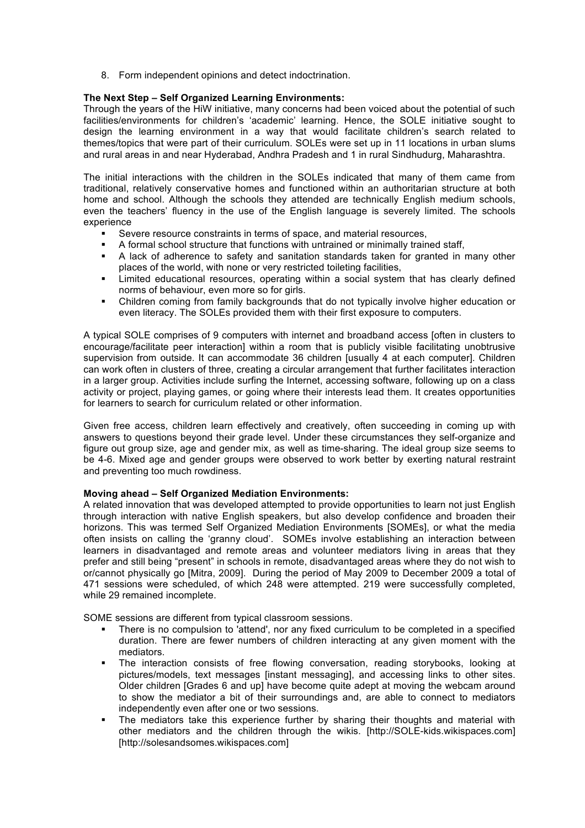8. Form independent opinions and detect indoctrination.

## **The Next Step – Self Organized Learning Environments:**

Through the years of the HiW initiative, many concerns had been voiced about the potential of such facilities/environments for children's 'academic' learning. Hence, the SOLE initiative sought to design the learning environment in a way that would facilitate children's search related to themes/topics that were part of their curriculum. SOLEs were set up in 11 locations in urban slums and rural areas in and near Hyderabad, Andhra Pradesh and 1 in rural Sindhudurg, Maharashtra.

The initial interactions with the children in the SOLEs indicated that many of them came from traditional, relatively conservative homes and functioned within an authoritarian structure at both home and school. Although the schools they attended are technically English medium schools, even the teachers' fluency in the use of the English language is severely limited. The schools experience

- § Severe resource constraints in terms of space, and material resources,
- **•** A formal school structure that functions with untrained or minimally trained staff,
- **•** A lack of adherence to safety and sanitation standards taken for granted in many other places of the world, with none or very restricted toileting facilities,
- § Limited educational resources, operating within a social system that has clearly defined norms of behaviour, even more so for girls.
- § Children coming from family backgrounds that do not typically involve higher education or even literacy. The SOLEs provided them with their first exposure to computers.

A typical SOLE comprises of 9 computers with internet and broadband access [often in clusters to encourage/facilitate peer interaction] within a room that is publicly visible facilitating unobtrusive supervision from outside. It can accommodate 36 children [usually 4 at each computer]. Children can work often in clusters of three, creating a circular arrangement that further facilitates interaction in a larger group. Activities include surfing the Internet, accessing software, following up on a class activity or project, playing games, or going where their interests lead them. It creates opportunities for learners to search for curriculum related or other information.

Given free access, children learn effectively and creatively, often succeeding in coming up with answers to questions beyond their grade level. Under these circumstances they self-organize and figure out group size, age and gender mix, as well as time-sharing. The ideal group size seems to be 4-6. Mixed age and gender groups were observed to work better by exerting natural restraint and preventing too much rowdiness.

#### **Moving ahead – Self Organized Mediation Environments:**

A related innovation that was developed attempted to provide opportunities to learn not just English through interaction with native English speakers, but also develop confidence and broaden their horizons. This was termed Self Organized Mediation Environments [SOMEs], or what the media often insists on calling the 'granny cloud'. SOMEs involve establishing an interaction between learners in disadvantaged and remote areas and volunteer mediators living in areas that they prefer and still being "present" in schools in remote, disadvantaged areas where they do not wish to or/cannot physically go [Mitra, 2009]. During the period of May 2009 to December 2009 a total of 471 sessions were scheduled, of which 248 were attempted. 219 were successfully completed, while 29 remained incomplete.

SOME sessions are different from typical classroom sessions.

- There is no compulsion to 'attend', nor any fixed curriculum to be completed in a specified duration. There are fewer numbers of children interacting at any given moment with the mediators.
- The interaction consists of free flowing conversation, reading storybooks, looking at pictures/models, text messages [instant messaging], and accessing links to other sites. Older children [Grades 6 and up] have become quite adept at moving the webcam around to show the mediator a bit of their surroundings and, are able to connect to mediators independently even after one or two sessions.
- The mediators take this experience further by sharing their thoughts and material with other mediators and the children through the wikis. [http://SOLE-kids.wikispaces.com] [http://solesandsomes.wikispaces.com]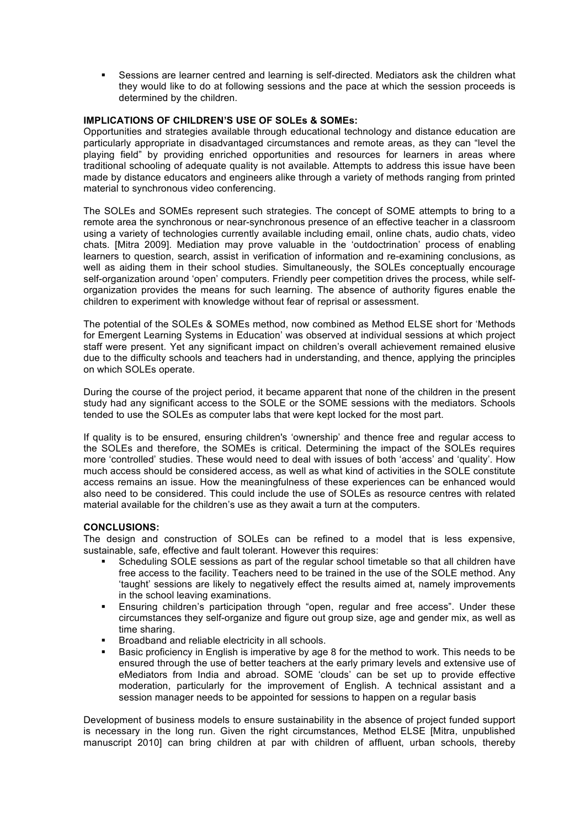Sessions are learner centred and learning is self-directed. Mediators ask the children what they would like to do at following sessions and the pace at which the session proceeds is determined by the children.

## **IMPLICATIONS OF CHILDREN'S USE OF SOLEs & SOMEs:**

Opportunities and strategies available through educational technology and distance education are particularly appropriate in disadvantaged circumstances and remote areas, as they can "level the playing field" by providing enriched opportunities and resources for learners in areas where traditional schooling of adequate quality is not available. Attempts to address this issue have been made by distance educators and engineers alike through a variety of methods ranging from printed material to synchronous video conferencing.

The SOLEs and SOMEs represent such strategies. The concept of SOME attempts to bring to a remote area the synchronous or near-synchronous presence of an effective teacher in a classroom using a variety of technologies currently available including email, online chats, audio chats, video chats. [Mitra 2009]. Mediation may prove valuable in the 'outdoctrination' process of enabling learners to question, search, assist in verification of information and re-examining conclusions, as well as aiding them in their school studies. Simultaneously, the SOLEs conceptually encourage self-organization around 'open' computers. Friendly peer competition drives the process, while selforganization provides the means for such learning. The absence of authority figures enable the children to experiment with knowledge without fear of reprisal or assessment.

The potential of the SOLEs & SOMEs method, now combined as Method ELSE short for 'Methods for Emergent Learning Systems in Education' was observed at individual sessions at which project staff were present. Yet any significant impact on children's overall achievement remained elusive due to the difficulty schools and teachers had in understanding, and thence, applying the principles on which SOLEs operate.

During the course of the project period, it became apparent that none of the children in the present study had any significant access to the SOLE or the SOME sessions with the mediators. Schools tended to use the SOLEs as computer labs that were kept locked for the most part.

If quality is to be ensured, ensuring children's 'ownership' and thence free and regular access to the SOLEs and therefore, the SOMEs is critical. Determining the impact of the SOLEs requires more 'controlled' studies. These would need to deal with issues of both 'access' and 'quality'. How much access should be considered access, as well as what kind of activities in the SOLE constitute access remains an issue. How the meaningfulness of these experiences can be enhanced would also need to be considered. This could include the use of SOLEs as resource centres with related material available for the children's use as they await a turn at the computers.

# **CONCLUSIONS:**

The design and construction of SOLEs can be refined to a model that is less expensive, sustainable, safe, effective and fault tolerant. However this requires:

- Scheduling SOLE sessions as part of the regular school timetable so that all children have free access to the facility. Teachers need to be trained in the use of the SOLE method. Any 'taught' sessions are likely to negatively effect the results aimed at, namely improvements in the school leaving examinations.
- Ensuring children's participation through "open, regular and free access". Under these circumstances they self-organize and figure out group size, age and gender mix, as well as time sharing.
- § Broadband and reliable electricity in all schools.
- Basic proficiency in English is imperative by age 8 for the method to work. This needs to be ensured through the use of better teachers at the early primary levels and extensive use of eMediators from India and abroad. SOME 'clouds' can be set up to provide effective moderation, particularly for the improvement of English. A technical assistant and a session manager needs to be appointed for sessions to happen on a regular basis

Development of business models to ensure sustainability in the absence of project funded support is necessary in the long run. Given the right circumstances, Method ELSE [Mitra, unpublished manuscript 2010] can bring children at par with children of affluent, urban schools, thereby